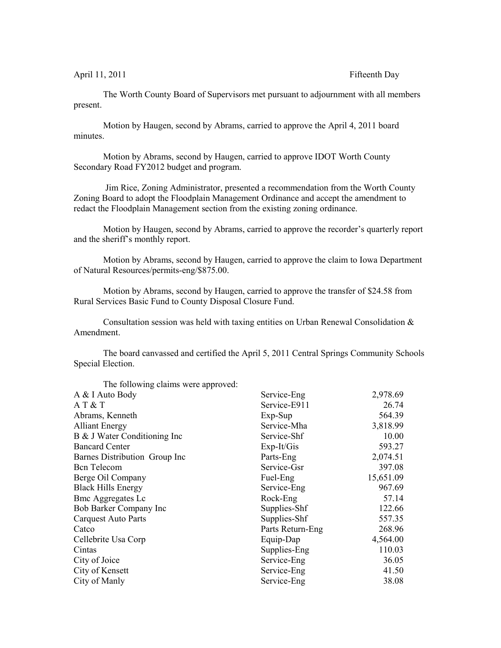April 11, 2011 **Fifteenth** Day

The Worth County Board of Supervisors met pursuant to adjournment with all members present.

Motion by Haugen, second by Abrams, carried to approve the April 4, 2011 board minutes.

Motion by Abrams, second by Haugen, carried to approve IDOT Worth County Secondary Road FY2012 budget and program.

 Jim Rice, Zoning Administrator, presented a recommendation from the Worth County Zoning Board to adopt the Floodplain Management Ordinance and accept the amendment to redact the Floodplain Management section from the existing zoning ordinance.

Motion by Haugen, second by Abrams, carried to approve the recorder's quarterly report and the sheriff's monthly report.

Motion by Abrams, second by Haugen, carried to approve the claim to Iowa Department of Natural Resources/permits-eng/\$875.00.

Motion by Abrams, second by Haugen, carried to approve the transfer of \$24.58 from Rural Services Basic Fund to County Disposal Closure Fund.

Consultation session was held with taxing entities on Urban Renewal Consolidation & Amendment.

The board canvassed and certified the April 5, 2011 Central Springs Community Schools Special Election.

| The following claims were approved: |                  |           |
|-------------------------------------|------------------|-----------|
| A & I Auto Body                     | Service-Eng      | 2,978.69  |
| A T & T                             | Service-E911     | 26.74     |
| Abrams, Kenneth                     | $Exp-Sup$        | 564.39    |
| <b>Alliant Energy</b>               | Service-Mha      | 3,818.99  |
| B & J Water Conditioning Inc        | Service-Shf      | 10.00     |
| <b>Bancard Center</b>               | $Exp-It/Gis$     | 593.27    |
| Barnes Distribution Group Inc       | Parts-Eng        | 2,074.51  |
| <b>Bcn</b> Telecom                  | Service-Gsr      | 397.08    |
| Berge Oil Company                   | Fuel-Eng         | 15,651.09 |
| <b>Black Hills Energy</b>           | Service-Eng      | 967.69    |
| <b>Bmc Aggregates Lc</b>            | Rock-Eng         | 57.14     |
| Bob Barker Company Inc              | Supplies-Shf     | 122.66    |
| <b>Carquest Auto Parts</b>          | Supplies-Shf     | 557.35    |
| Catco                               | Parts Return-Eng | 268.96    |
| Cellebrite Usa Corp                 | Equip-Dap        | 4,564.00  |
| Cintas                              | Supplies-Eng     | 110.03    |
| City of Joice                       | Service-Eng      | 36.05     |
| City of Kensett                     | Service-Eng      | 41.50     |
| City of Manly                       | Service-Eng      | 38.08     |
|                                     |                  |           |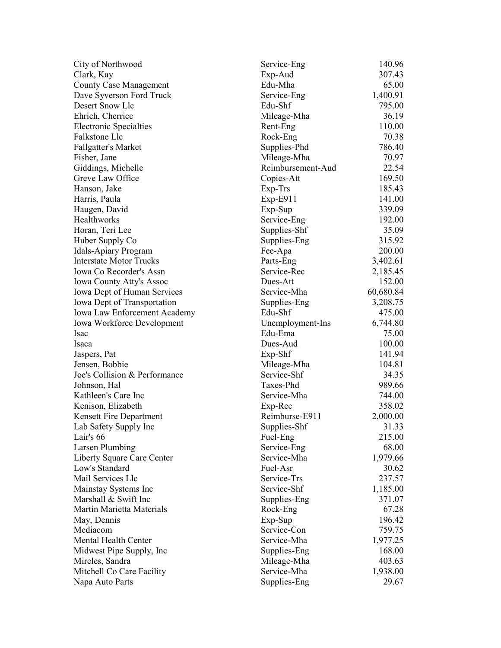| City of Northwood                            | Service-Eng                | 140.96          |
|----------------------------------------------|----------------------------|-----------------|
| Clark, Kay                                   | Exp-Aud                    | 307.43          |
| <b>County Case Management</b>                | Edu-Mha                    | 65.00           |
| Dave Syverson Ford Truck                     | Service-Eng                | 1,400.91        |
| Desert Snow Llc                              | Edu-Shf                    | 795.00          |
| Ehrich, Cherrice                             | Mileage-Mha                | 36.19           |
| <b>Electronic Specialties</b>                | Rent-Eng                   | 110.00          |
| Falkstone Llc                                | Rock-Eng                   | 70.38           |
| <b>Fallgatter's Market</b>                   | Supplies-Phd               | 786.40          |
| Fisher, Jane                                 | Mileage-Mha                | 70.97           |
| Giddings, Michelle                           | Reimbursement-Aud          | 22.54           |
| Greve Law Office                             | Copies-Att                 | 169.50          |
| Hanson, Jake                                 | Exp-Trs                    | 185.43          |
| Harris, Paula                                | Exp-E911                   | 141.00          |
| Haugen, David                                | Exp-Sup                    | 339.09          |
| Healthworks                                  | Service-Eng                | 192.00          |
| Horan, Teri Lee                              | Supplies-Shf               | 35.09           |
| Huber Supply Co                              | Supplies-Eng               | 315.92          |
| Idals-Apiary Program                         | Fee-Apa                    | 200.00          |
| <b>Interstate Motor Trucks</b>               | Parts-Eng                  | 3,402.61        |
| Iowa Co Recorder's Assn                      | Service-Rec                | 2,185.45        |
| <b>Iowa County Atty's Assoc</b>              | Dues-Att                   | 152.00          |
| Iowa Dept of Human Services                  | Service-Mha                | 60,680.84       |
| Iowa Dept of Transportation                  | Supplies-Eng               | 3,208.75        |
| Iowa Law Enforcement Academy                 | Edu-Shf                    | 475.00          |
| <b>Iowa Workforce Development</b>            | Unemployment-Ins           | 6,744.80        |
| Isac                                         | Edu-Ema                    | 75.00           |
| Isaca                                        | Dues-Aud                   | 100.00          |
| Jaspers, Pat                                 | Exp-Shf                    | 141.94          |
| Jensen, Bobbie                               | Mileage-Mha                | 104.81          |
| Joe's Collision & Performance                | Service-Shf                | 34.35           |
| Johnson, Hal                                 | Taxes-Phd                  | 989.66          |
| Kathleen's Care Inc                          | Service-Mha                | 744.00          |
|                                              |                            | 358.02          |
| Kenison, Elizabeth                           | Exp-Rec<br>Reimburse-E911  |                 |
| Kensett Fire Department                      |                            | 2,000.00        |
| Lab Safety Supply Inc                        | Supplies-Shf               | 31.33           |
| Lair's 66                                    | Fuel-Eng                   | 215.00<br>68.00 |
| Larsen Plumbing                              | Service-Eng<br>Service-Mha |                 |
| Liberty Square Care Center<br>Low's Standard |                            | 1,979.66        |
|                                              | Fuel-Asr                   | 30.62           |
| Mail Services Llc                            | Service-Trs                | 237.57          |
| Mainstay Systems Inc                         | Service-Shf                | 1,185.00        |
| Marshall & Swift Inc                         | Supplies-Eng               | 371.07          |
| <b>Martin Marietta Materials</b>             | Rock-Eng                   | 67.28           |
| May, Dennis                                  | Exp-Sup                    | 196.42          |
| Mediacom                                     | Service-Con                | 759.75          |
| Mental Health Center                         | Service-Mha                | 1,977.25        |
| Midwest Pipe Supply, Inc.                    | Supplies-Eng               | 168.00          |
| Mireles, Sandra                              | Mileage-Mha                | 403.63          |
| Mitchell Co Care Facility                    | Service-Mha                | 1,938.00        |
| Napa Auto Parts                              | Supplies-Eng               | 29.67           |